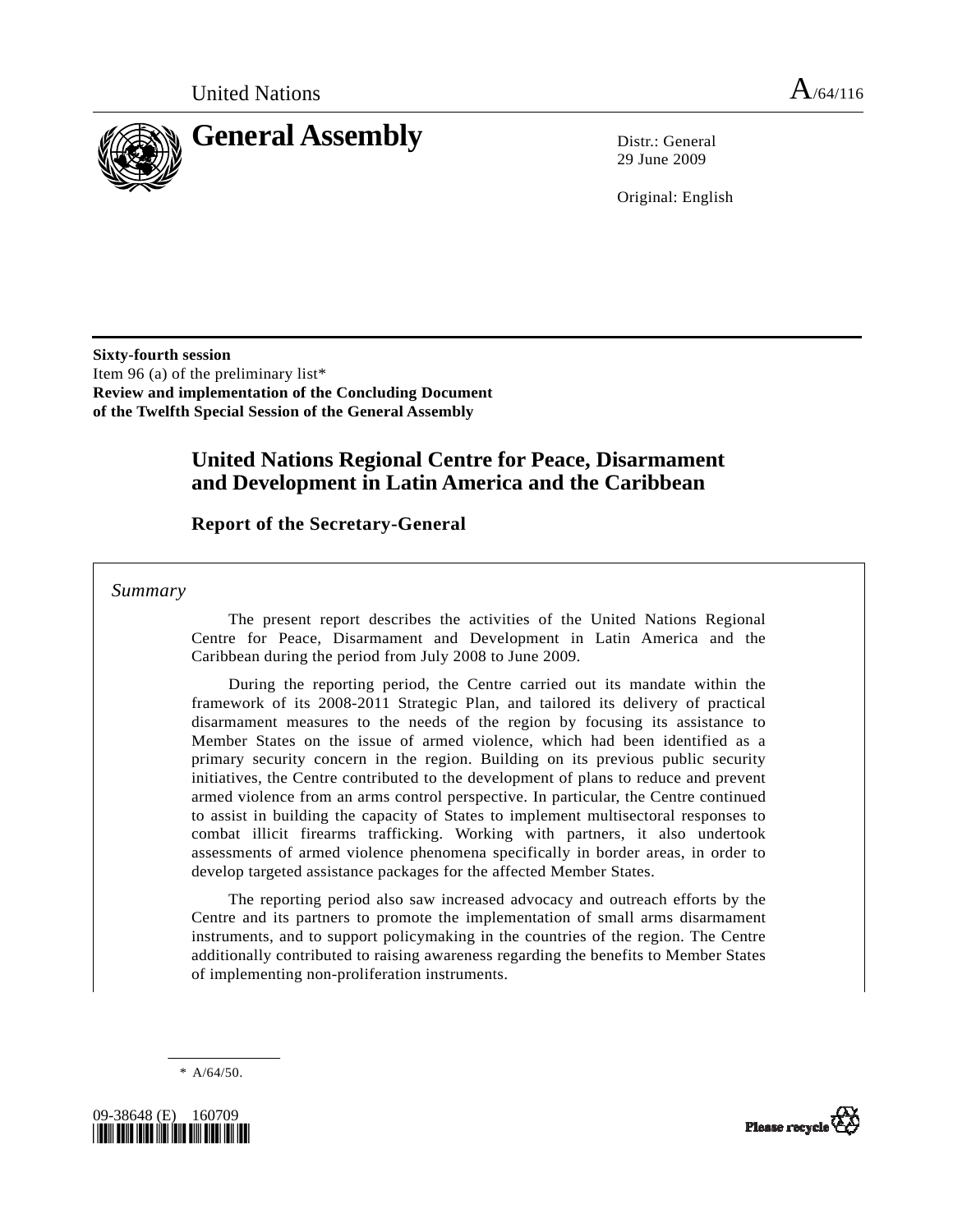

29 June 2009

Original: English

**Sixty-fourth session**  Item 96 (a) of the preliminary list\* **Review and implementation of the Concluding Document of the Twelfth Special Session of the General Assembly** 

# **United Nations Regional Centre for Peace, Disarmament and Development in Latin America and the Caribbean**

## **Report of the Secretary-General**

 *Summary* 

 The present report describes the activities of the United Nations Regional Centre for Peace, Disarmament and Development in Latin America and the Caribbean during the period from July 2008 to June 2009.

 During the reporting period, the Centre carried out its mandate within the framework of its 2008-2011 Strategic Plan, and tailored its delivery of practical disarmament measures to the needs of the region by focusing its assistance to Member States on the issue of armed violence, which had been identified as a primary security concern in the region. Building on its previous public security initiatives, the Centre contributed to the development of plans to reduce and prevent armed violence from an arms control perspective. In particular, the Centre continued to assist in building the capacity of States to implement multisectoral responses to combat illicit firearms trafficking. Working with partners, it also undertook assessments of armed violence phenomena specifically in border areas, in order to develop targeted assistance packages for the affected Member States.

 The reporting period also saw increased advocacy and outreach efforts by the Centre and its partners to promote the implementation of small arms disarmament instruments, and to support policymaking in the countries of the region. The Centre additionally contributed to raising awareness regarding the benefits to Member States of implementing non-proliferation instruments.

 $* A/64/50.$ 



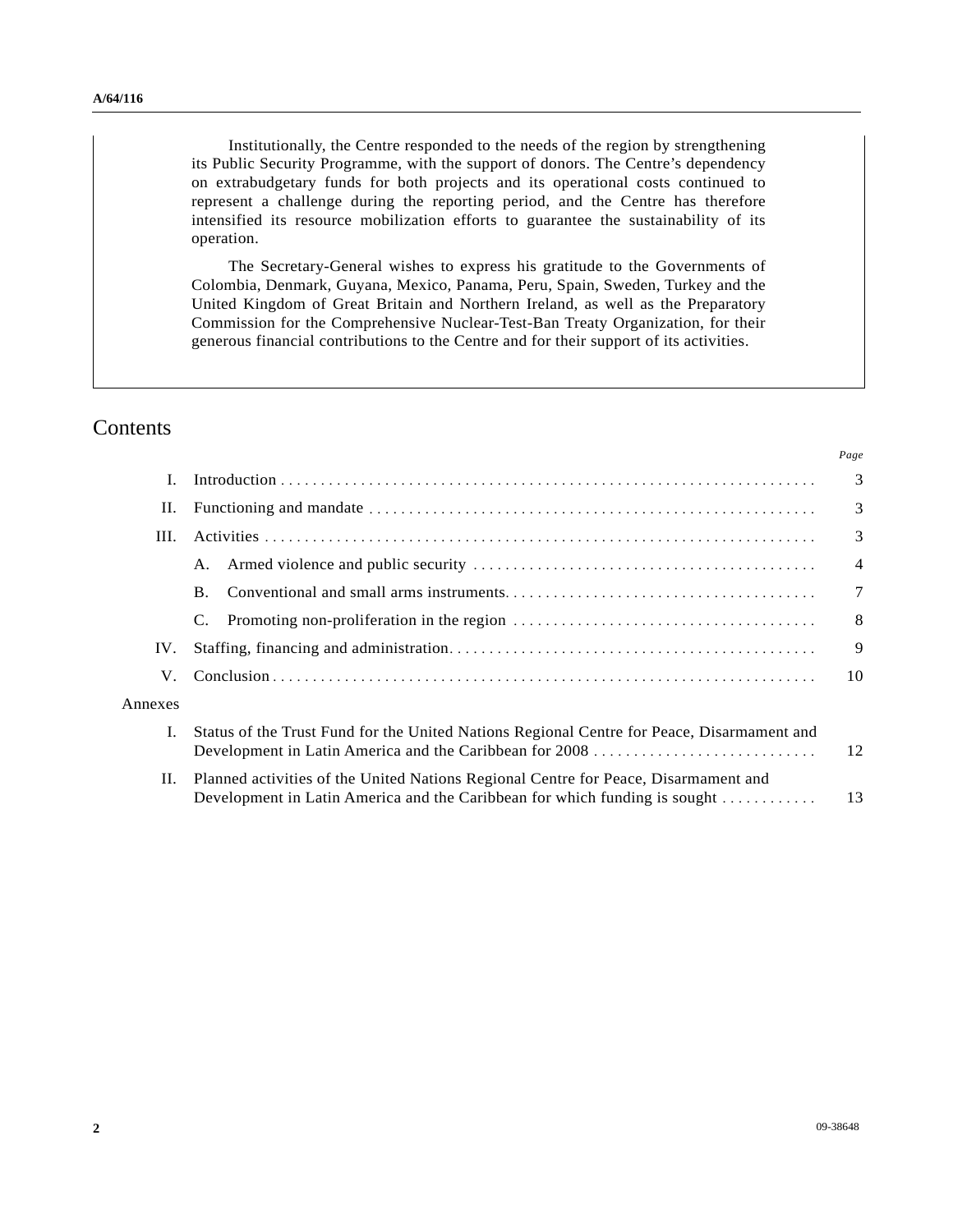Institutionally, the Centre responded to the needs of the region by strengthening its Public Security Programme, with the support of donors. The Centre's dependency on extrabudgetary funds for both projects and its operational costs continued to represent a challenge during the reporting period, and the Centre has therefore intensified its resource mobilization efforts to guarantee the sustainability of its operation.

 The Secretary-General wishes to express his gratitude to the Governments of Colombia, Denmark, Guyana, Mexico, Panama, Peru, Spain, Sweden, Turkey and the United Kingdom of Great Britain and Northern Ireland, as well as the Preparatory Commission for the Comprehensive Nuclear-Test-Ban Treaty Organization, for their generous financial contributions to the Centre and for their support of its activities.

## **Contents**

|         |                                                                                                                                                                   | Page           |
|---------|-------------------------------------------------------------------------------------------------------------------------------------------------------------------|----------------|
|         |                                                                                                                                                                   | $\overline{3}$ |
| П.      |                                                                                                                                                                   | $\overline{3}$ |
| III.    |                                                                                                                                                                   | $\overline{3}$ |
|         | А.                                                                                                                                                                | $\overline{4}$ |
|         | <b>B.</b>                                                                                                                                                         | $\overline{7}$ |
|         | C.                                                                                                                                                                | 8              |
| IV.     |                                                                                                                                                                   | 9              |
| V.      |                                                                                                                                                                   | 10             |
| Annexes |                                                                                                                                                                   |                |
|         | Status of the Trust Fund for the United Nations Regional Centre for Peace, Disarmament and                                                                        | 12             |
| П.      | Planned activities of the United Nations Regional Centre for Peace, Disarmament and<br>Development in Latin America and the Caribbean for which funding is sought | 13             |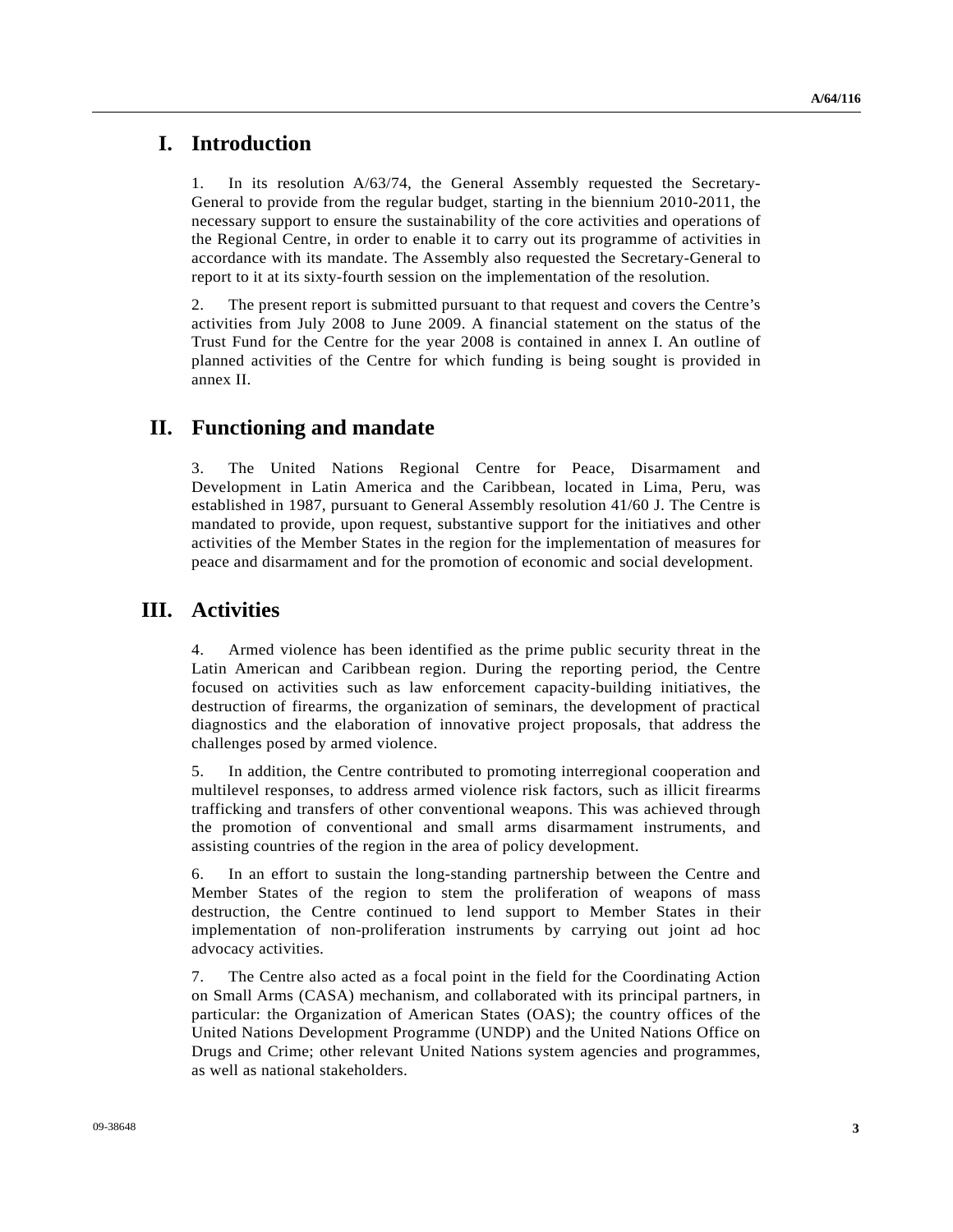## **I. Introduction**

1. In its resolution A/63/74, the General Assembly requested the Secretary-General to provide from the regular budget, starting in the biennium 2010-2011, the necessary support to ensure the sustainability of the core activities and operations of the Regional Centre, in order to enable it to carry out its programme of activities in accordance with its mandate. The Assembly also requested the Secretary-General to report to it at its sixty-fourth session on the implementation of the resolution.

2. The present report is submitted pursuant to that request and covers the Centre's activities from July 2008 to June 2009. A financial statement on the status of the Trust Fund for the Centre for the year 2008 is contained in annex I. An outline of planned activities of the Centre for which funding is being sought is provided in annex II.

## **II. Functioning and mandate**

3. The United Nations Regional Centre for Peace, Disarmament and Development in Latin America and the Caribbean, located in Lima, Peru, was established in 1987, pursuant to General Assembly resolution 41/60 J. The Centre is mandated to provide, upon request, substantive support for the initiatives and other activities of the Member States in the region for the implementation of measures for peace and disarmament and for the promotion of economic and social development.

# **III. Activities**

4. Armed violence has been identified as the prime public security threat in the Latin American and Caribbean region. During the reporting period, the Centre focused on activities such as law enforcement capacity-building initiatives, the destruction of firearms, the organization of seminars, the development of practical diagnostics and the elaboration of innovative project proposals, that address the challenges posed by armed violence.

5. In addition, the Centre contributed to promoting interregional cooperation and multilevel responses, to address armed violence risk factors, such as illicit firearms trafficking and transfers of other conventional weapons. This was achieved through the promotion of conventional and small arms disarmament instruments, and assisting countries of the region in the area of policy development.

6. In an effort to sustain the long-standing partnership between the Centre and Member States of the region to stem the proliferation of weapons of mass destruction, the Centre continued to lend support to Member States in their implementation of non-proliferation instruments by carrying out joint ad hoc advocacy activities.

7. The Centre also acted as a focal point in the field for the Coordinating Action on Small Arms (CASA) mechanism, and collaborated with its principal partners, in particular: the Organization of American States (OAS); the country offices of the United Nations Development Programme (UNDP) and the United Nations Office on Drugs and Crime; other relevant United Nations system agencies and programmes, as well as national stakeholders.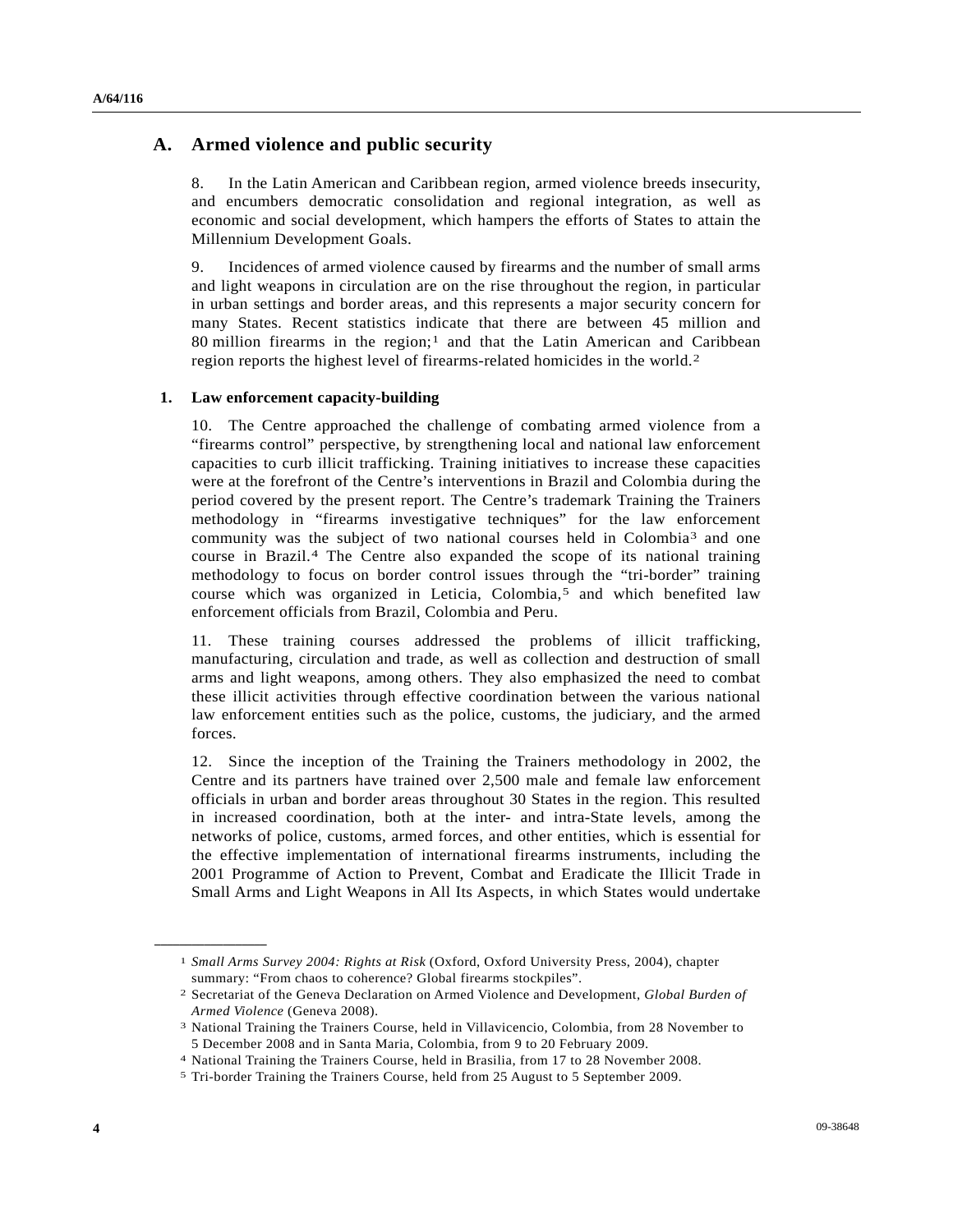### **A. Armed violence and public security**

8. In the Latin American and Caribbean region, armed violence breeds insecurity, and encumbers democratic consolidation and regional integration, as well as economic and social development, which hampers the efforts of States to attain the Millennium Development Goals.

9. Incidences of armed violence caused by firearms and the number of small arms and light weapons in circulation are on the rise throughout the region, in particular in urban settings and border areas, and this represents a major security concern for many States. Recent statistics indicate that there are between 45 million and 80 million firearms in the region;<sup>[1](#page-3-0)</sup> and that the Latin American and Caribbean region reports the highest level of firearms-related homicides in the world.[2](#page-3-1)

#### **1. Law enforcement capacity-building**

10. The Centre approached the challenge of combating armed violence from a "firearms control" perspective, by strengthening local and national law enforcement capacities to curb illicit trafficking. Training initiatives to increase these capacities were at the forefront of the Centre's interventions in Brazil and Colombia during the period covered by the present report. The Centre's trademark Training the Trainers methodology in "firearms investigative techniques" for the law enforcement community was the subject of two national courses held in Colombia[3](#page-3-2) and one course in Brazil.[4](#page-3-3) The Centre also expanded the scope of its national training methodology to focus on border control issues through the "tri-border" training course which was organized in Leticia, Colombia,[5](#page-3-4) and which benefited law enforcement officials from Brazil, Colombia and Peru.

11. These training courses addressed the problems of illicit trafficking, manufacturing, circulation and trade, as well as collection and destruction of small arms and light weapons, among others. They also emphasized the need to combat these illicit activities through effective coordination between the various national law enforcement entities such as the police, customs, the judiciary, and the armed forces.

12. Since the inception of the Training the Trainers methodology in 2002, the Centre and its partners have trained over 2,500 male and female law enforcement officials in urban and border areas throughout 30 States in the region. This resulted in increased coordination, both at the inter- and intra-State levels, among the networks of police, customs, armed forces, and other entities, which is essential for the effective implementation of international firearms instruments, including the 2001 Programme of Action to Prevent, Combat and Eradicate the Illicit Trade in Small Arms and Light Weapons in All Its Aspects, in which States would undertake

<span id="page-3-2"></span><span id="page-3-1"></span><span id="page-3-0"></span>**\_\_\_\_\_\_\_\_\_\_\_\_\_\_\_\_\_\_** 

<sup>1</sup> *Small Arms Survey 2004: Rights at Risk* (Oxford, Oxford University Press, 2004), chapter summary: "From chaos to coherence? Global firearms stockpiles".

<sup>2</sup> Secretariat of the Geneva Declaration on Armed Violence and Development, *Global Burden of Armed Violence* (Geneva 2008).<br><sup>3</sup> National Training the Trainers Course, held in Villavicencio, Colombia, from 28 November to

<sup>5</sup> December 2008 and in Santa Maria, Colombia, from 9 to 20 February 2009.

<span id="page-3-3"></span><sup>4</sup> National Training the Trainers Course, held in Brasilia, from 17 to 28 November 2008. 5 Tri-border Training the Trainers Course, held from 25 August to 5 September 2009.

<span id="page-3-4"></span>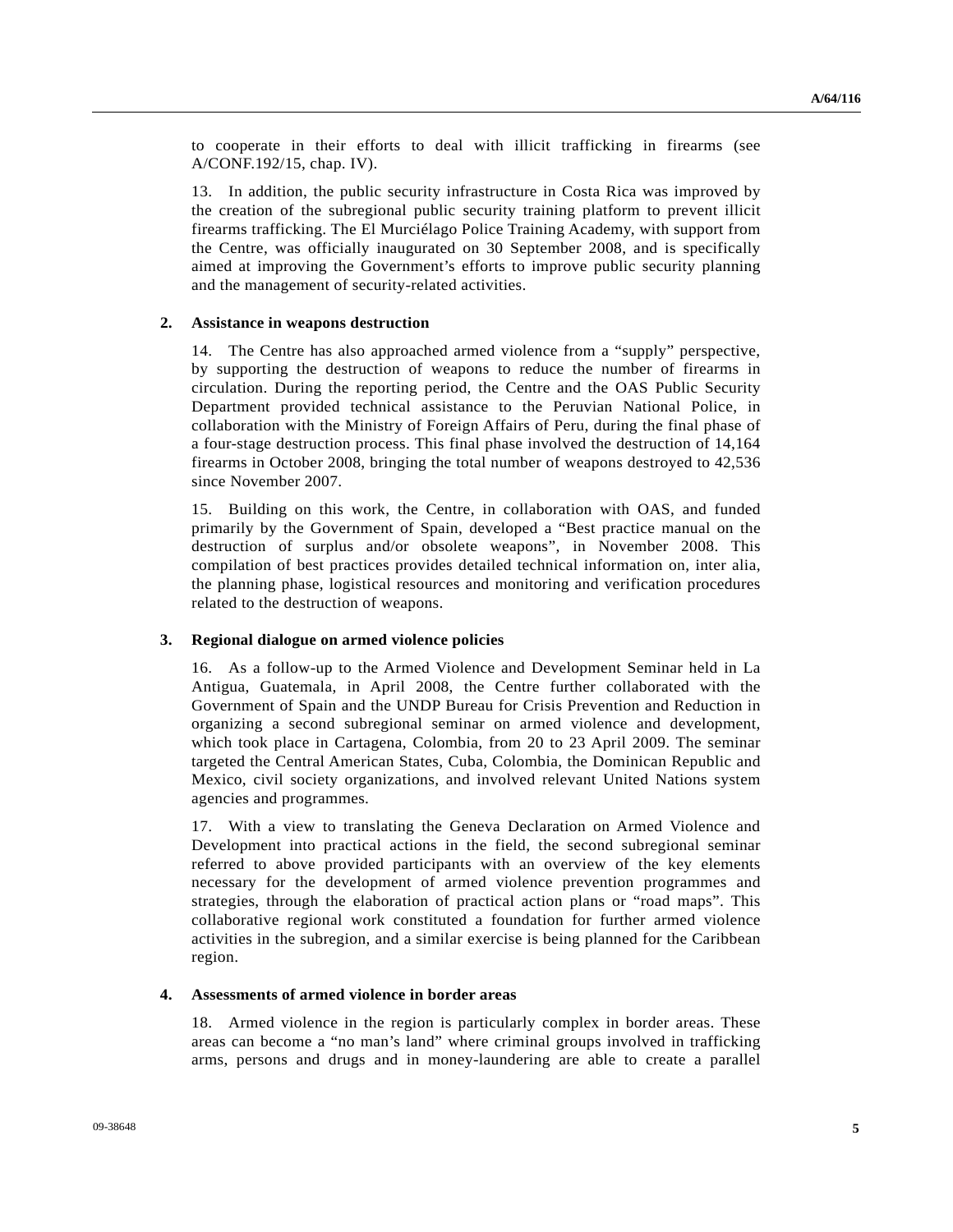to cooperate in their efforts to deal with illicit trafficking in firearms (see A/CONF.192/15, chap. IV).

13. In addition, the public security infrastructure in Costa Rica was improved by the creation of the subregional public security training platform to prevent illicit firearms trafficking. The El Murciélago Police Training Academy, with support from the Centre, was officially inaugurated on 30 September 2008, and is specifically aimed at improving the Government's efforts to improve public security planning and the management of security-related activities.

### **2. Assistance in weapons destruction**

14. The Centre has also approached armed violence from a "supply" perspective, by supporting the destruction of weapons to reduce the number of firearms in circulation. During the reporting period, the Centre and the OAS Public Security Department provided technical assistance to the Peruvian National Police, in collaboration with the Ministry of Foreign Affairs of Peru, during the final phase of a four-stage destruction process. This final phase involved the destruction of 14,164 firearms in October 2008, bringing the total number of weapons destroyed to 42,536 since November 2007.

15. Building on this work, the Centre, in collaboration with OAS, and funded primarily by the Government of Spain, developed a "Best practice manual on the destruction of surplus and/or obsolete weapons", in November 2008. This compilation of best practices provides detailed technical information on, inter alia, the planning phase, logistical resources and monitoring and verification procedures related to the destruction of weapons.

#### **3. Regional dialogue on armed violence policies**

16. As a follow-up to the Armed Violence and Development Seminar held in La Antigua, Guatemala, in April 2008, the Centre further collaborated with the Government of Spain and the UNDP Bureau for Crisis Prevention and Reduction in organizing a second subregional seminar on armed violence and development, which took place in Cartagena, Colombia, from 20 to 23 April 2009. The seminar targeted the Central American States, Cuba, Colombia, the Dominican Republic and Mexico, civil society organizations, and involved relevant United Nations system agencies and programmes.

17. With a view to translating the Geneva Declaration on Armed Violence and Development into practical actions in the field, the second subregional seminar referred to above provided participants with an overview of the key elements necessary for the development of armed violence prevention programmes and strategies, through the elaboration of practical action plans or "road maps". This collaborative regional work constituted a foundation for further armed violence activities in the subregion, and a similar exercise is being planned for the Caribbean region.

### **4. Assessments of armed violence in border areas**

18. Armed violence in the region is particularly complex in border areas. These areas can become a "no man's land" where criminal groups involved in trafficking arms, persons and drugs and in money-laundering are able to create a parallel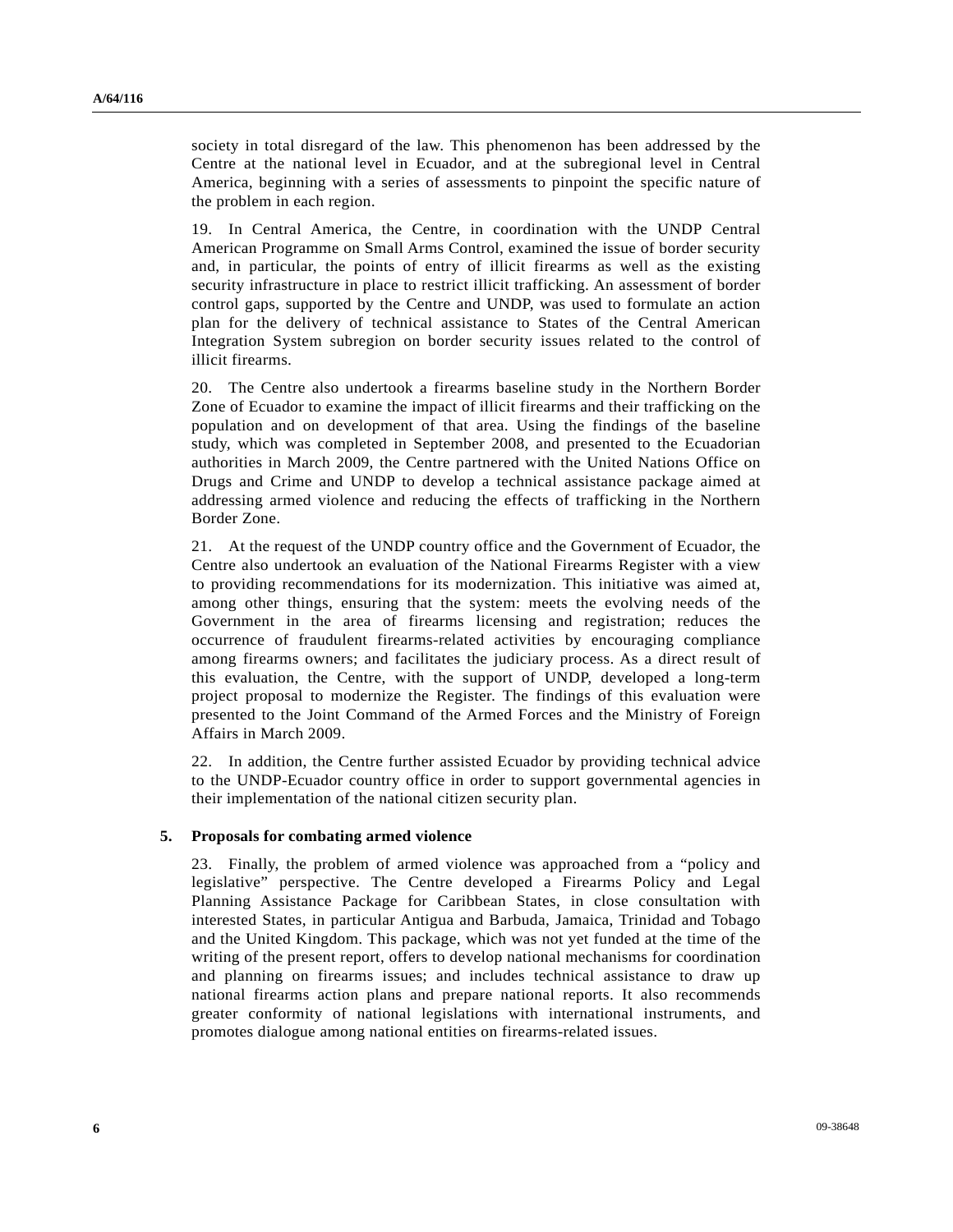society in total disregard of the law. This phenomenon has been addressed by the Centre at the national level in Ecuador, and at the subregional level in Central America, beginning with a series of assessments to pinpoint the specific nature of the problem in each region.

19. In Central America, the Centre, in coordination with the UNDP Central American Programme on Small Arms Control, examined the issue of border security and, in particular, the points of entry of illicit firearms as well as the existing security infrastructure in place to restrict illicit trafficking. An assessment of border control gaps, supported by the Centre and UNDP, was used to formulate an action plan for the delivery of technical assistance to States of the Central American Integration System subregion on border security issues related to the control of illicit firearms.

20. The Centre also undertook a firearms baseline study in the Northern Border Zone of Ecuador to examine the impact of illicit firearms and their trafficking on the population and on development of that area. Using the findings of the baseline study, which was completed in September 2008, and presented to the Ecuadorian authorities in March 2009, the Centre partnered with the United Nations Office on Drugs and Crime and UNDP to develop a technical assistance package aimed at addressing armed violence and reducing the effects of trafficking in the Northern Border Zone.

21. At the request of the UNDP country office and the Government of Ecuador, the Centre also undertook an evaluation of the National Firearms Register with a view to providing recommendations for its modernization. This initiative was aimed at, among other things, ensuring that the system: meets the evolving needs of the Government in the area of firearms licensing and registration; reduces the occurrence of fraudulent firearms-related activities by encouraging compliance among firearms owners; and facilitates the judiciary process. As a direct result of this evaluation, the Centre, with the support of UNDP, developed a long-term project proposal to modernize the Register. The findings of this evaluation were presented to the Joint Command of the Armed Forces and the Ministry of Foreign Affairs in March 2009.

22. In addition, the Centre further assisted Ecuador by providing technical advice to the UNDP-Ecuador country office in order to support governmental agencies in their implementation of the national citizen security plan.

#### **5. Proposals for combating armed violence**

23. Finally, the problem of armed violence was approached from a "policy and legislative" perspective. The Centre developed a Firearms Policy and Legal Planning Assistance Package for Caribbean States, in close consultation with interested States, in particular Antigua and Barbuda, Jamaica, Trinidad and Tobago and the United Kingdom. This package, which was not yet funded at the time of the writing of the present report, offers to develop national mechanisms for coordination and planning on firearms issues; and includes technical assistance to draw up national firearms action plans and prepare national reports. It also recommends greater conformity of national legislations with international instruments, and promotes dialogue among national entities on firearms-related issues.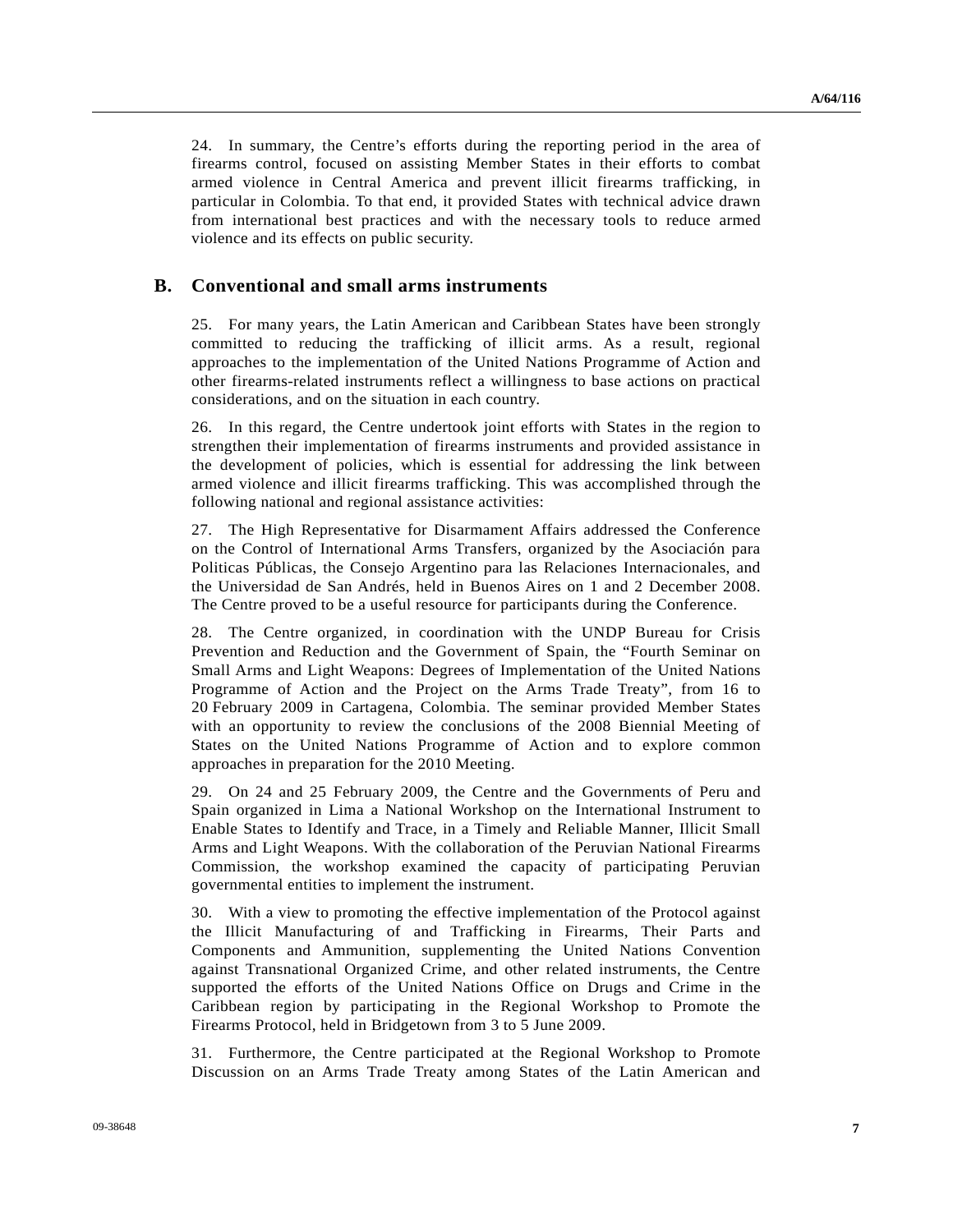24. In summary, the Centre's efforts during the reporting period in the area of firearms control, focused on assisting Member States in their efforts to combat armed violence in Central America and prevent illicit firearms trafficking, in particular in Colombia. To that end, it provided States with technical advice drawn from international best practices and with the necessary tools to reduce armed violence and its effects on public security.

### **B. Conventional and small arms instruments**

25. For many years, the Latin American and Caribbean States have been strongly committed to reducing the trafficking of illicit arms. As a result, regional approaches to the implementation of the United Nations Programme of Action and other firearms-related instruments reflect a willingness to base actions on practical considerations, and on the situation in each country.

26. In this regard, the Centre undertook joint efforts with States in the region to strengthen their implementation of firearms instruments and provided assistance in the development of policies, which is essential for addressing the link between armed violence and illicit firearms trafficking. This was accomplished through the following national and regional assistance activities:

27. The High Representative for Disarmament Affairs addressed the Conference on the Control of International Arms Transfers, organized by the Asociación para Politicas Públicas, the Consejo Argentino para las Relaciones Internacionales, and the Universidad de San Andrés, held in Buenos Aires on 1 and 2 December 2008. The Centre proved to be a useful resource for participants during the Conference.

28. The Centre organized, in coordination with the UNDP Bureau for Crisis Prevention and Reduction and the Government of Spain, the "Fourth Seminar on Small Arms and Light Weapons: Degrees of Implementation of the United Nations Programme of Action and the Project on the Arms Trade Treaty", from 16 to 20 February 2009 in Cartagena, Colombia. The seminar provided Member States with an opportunity to review the conclusions of the 2008 Biennial Meeting of States on the United Nations Programme of Action and to explore common approaches in preparation for the 2010 Meeting.

29. On 24 and 25 February 2009, the Centre and the Governments of Peru and Spain organized in Lima a National Workshop on the International Instrument to Enable States to Identify and Trace, in a Timely and Reliable Manner, Illicit Small Arms and Light Weapons. With the collaboration of the Peruvian National Firearms Commission, the workshop examined the capacity of participating Peruvian governmental entities to implement the instrument.

30. With a view to promoting the effective implementation of the Protocol against the Illicit Manufacturing of and Trafficking in Firearms, Their Parts and Components and Ammunition, supplementing the United Nations Convention against Transnational Organized Crime, and other related instruments, the Centre supported the efforts of the United Nations Office on Drugs and Crime in the Caribbean region by participating in the Regional Workshop to Promote the Firearms Protocol, held in Bridgetown from 3 to 5 June 2009.

31. Furthermore, the Centre participated at the Regional Workshop to Promote Discussion on an Arms Trade Treaty among States of the Latin American and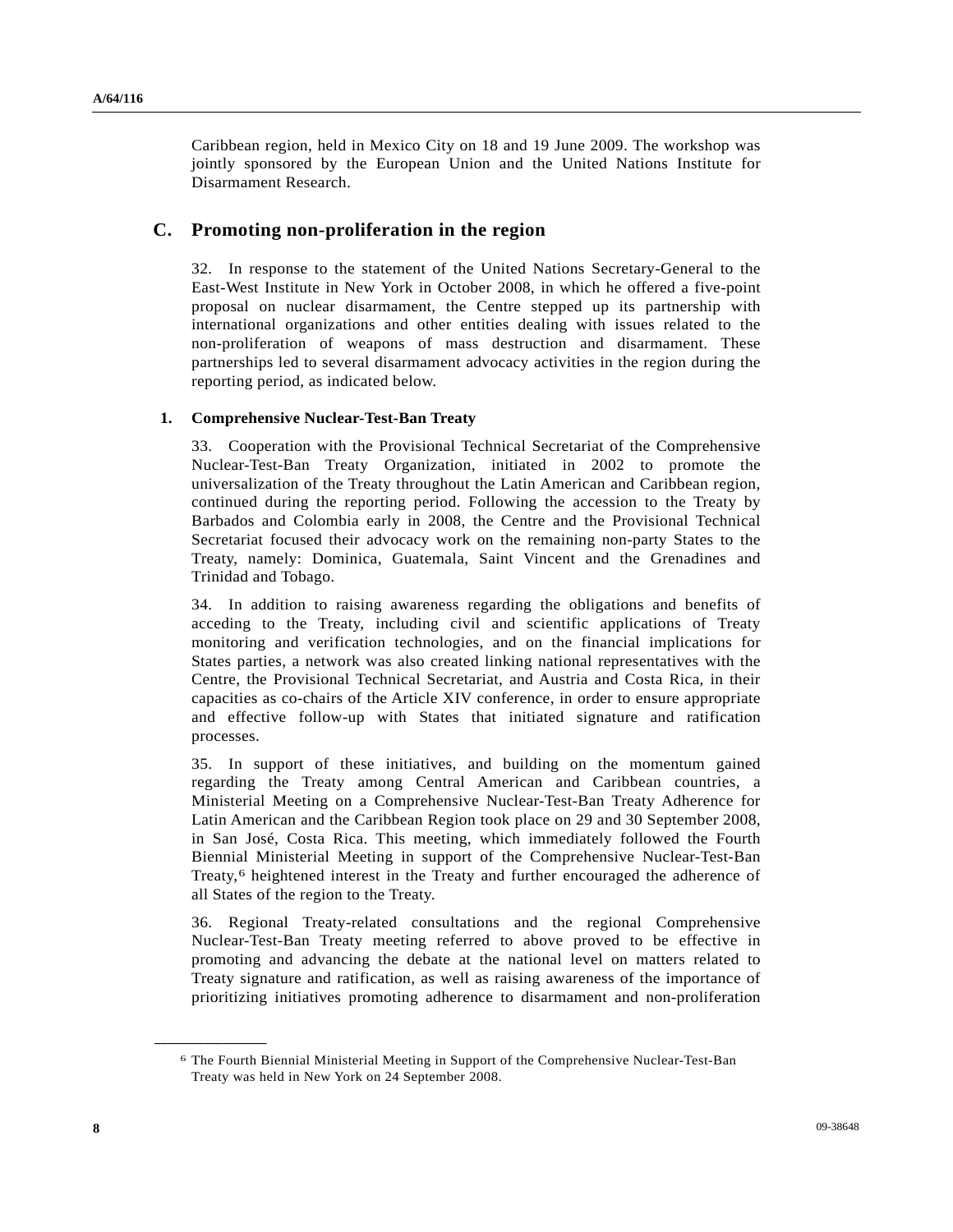Caribbean region, held in Mexico City on 18 and 19 June 2009. The workshop was jointly sponsored by the European Union and the United Nations Institute for Disarmament Research.

### **C. Promoting non-proliferation in the region**

32. In response to the statement of the United Nations Secretary-General to the East-West Institute in New York in October 2008, in which he offered a five-point proposal on nuclear disarmament, the Centre stepped up its partnership with international organizations and other entities dealing with issues related to the non-proliferation of weapons of mass destruction and disarmament. These partnerships led to several disarmament advocacy activities in the region during the reporting period, as indicated below.

### **1. Comprehensive Nuclear-Test-Ban Treaty**

33. Cooperation with the Provisional Technical Secretariat of the Comprehensive Nuclear-Test-Ban Treaty Organization, initiated in 2002 to promote the universalization of the Treaty throughout the Latin American and Caribbean region, continued during the reporting period. Following the accession to the Treaty by Barbados and Colombia early in 2008, the Centre and the Provisional Technical Secretariat focused their advocacy work on the remaining non-party States to the Treaty, namely: Dominica, Guatemala, Saint Vincent and the Grenadines and Trinidad and Tobago.

34. In addition to raising awareness regarding the obligations and benefits of acceding to the Treaty, including civil and scientific applications of Treaty monitoring and verification technologies, and on the financial implications for States parties, a network was also created linking national representatives with the Centre, the Provisional Technical Secretariat, and Austria and Costa Rica, in their capacities as co-chairs of the Article XIV conference, in order to ensure appropriate and effective follow-up with States that initiated signature and ratification processes.

35. In support of these initiatives, and building on the momentum gained regarding the Treaty among Central American and Caribbean countries, a Ministerial Meeting on a Comprehensive Nuclear-Test-Ban Treaty Adherence for Latin American and the Caribbean Region took place on 29 and 30 September 2008, in San José, Costa Rica. This meeting, which immediately followed the Fourth Biennial Ministerial Meeting in support of the Comprehensive Nuclear-Test-Ban Treaty,[6](#page-7-0) heightened interest in the Treaty and further encouraged the adherence of all States of the region to the Treaty.

36. Regional Treaty-related consultations and the regional Comprehensive Nuclear-Test-Ban Treaty meeting referred to above proved to be effective in promoting and advancing the debate at the national level on matters related to Treaty signature and ratification, as well as raising awareness of the importance of prioritizing initiatives promoting adherence to disarmament and non-proliferation

<span id="page-7-0"></span>**\_\_\_\_\_\_\_\_\_\_\_\_\_\_\_\_\_\_** 

<sup>6</sup> The Fourth Biennial Ministerial Meeting in Support of the Comprehensive Nuclear-Test-Ban Treaty was held in New York on 24 September 2008.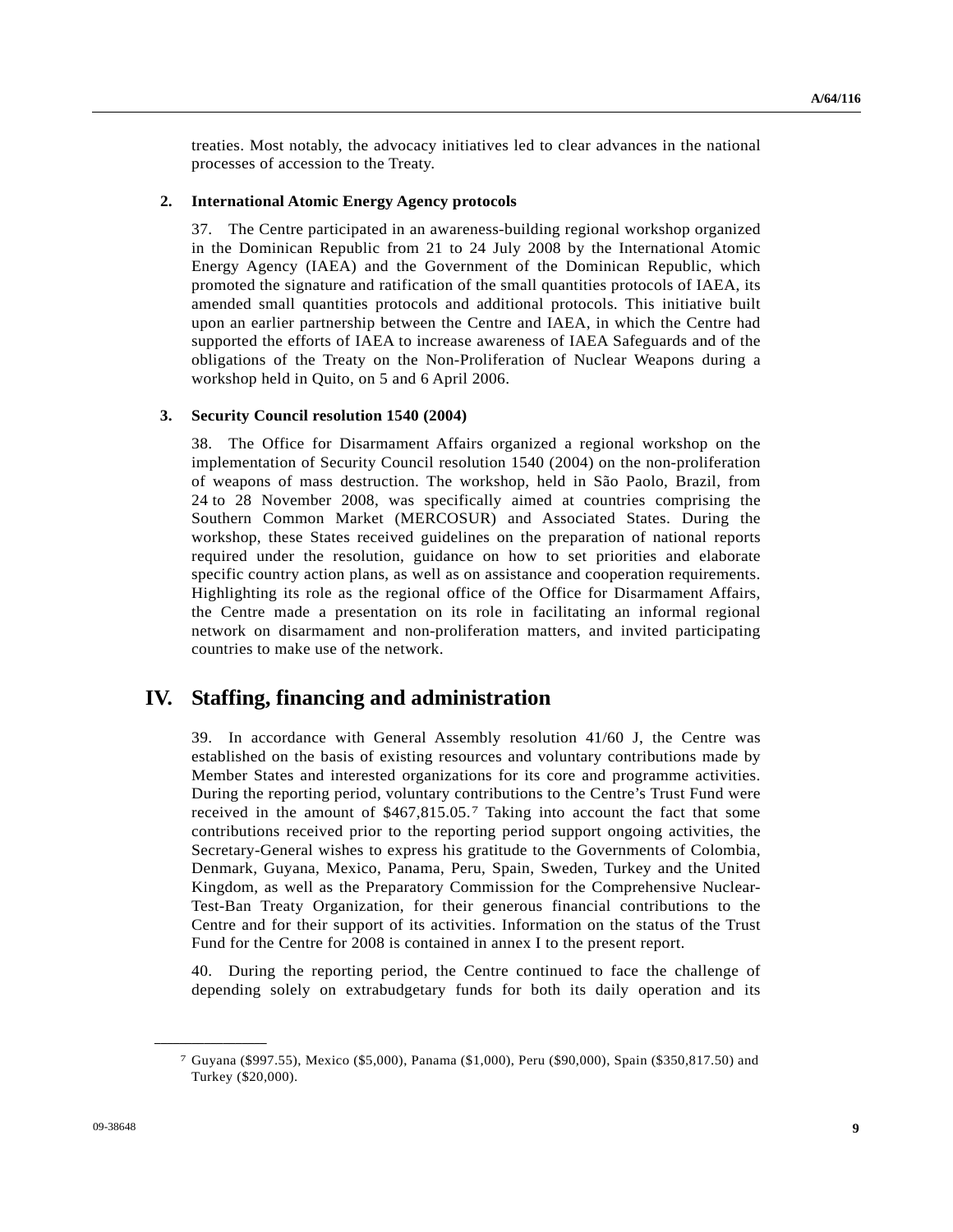treaties. Most notably, the advocacy initiatives led to clear advances in the national processes of accession to the Treaty.

### **2. International Atomic Energy Agency protocols**

37. The Centre participated in an awareness-building regional workshop organized in the Dominican Republic from 21 to 24 July 2008 by the International Atomic Energy Agency (IAEA) and the Government of the Dominican Republic, which promoted the signature and ratification of the small quantities protocols of IAEA, its amended small quantities protocols and additional protocols. This initiative built upon an earlier partnership between the Centre and IAEA, in which the Centre had supported the efforts of IAEA to increase awareness of IAEA Safeguards and of the obligations of the Treaty on the Non-Proliferation of Nuclear Weapons during a workshop held in Quito, on 5 and 6 April 2006.

### **3. Security Council resolution 1540 (2004)**

38. The Office for Disarmament Affairs organized a regional workshop on the implementation of Security Council resolution 1540 (2004) on the non-proliferation of weapons of mass destruction. The workshop, held in São Paolo, Brazil, from 24 to 28 November 2008, was specifically aimed at countries comprising the Southern Common Market (MERCOSUR) and Associated States. During the workshop, these States received guidelines on the preparation of national reports required under the resolution, guidance on how to set priorities and elaborate specific country action plans, as well as on assistance and cooperation requirements. Highlighting its role as the regional office of the Office for Disarmament Affairs, the Centre made a presentation on its role in facilitating an informal regional network on disarmament and non-proliferation matters, and invited participating countries to make use of the network.

### **IV. Staffing, financing and administration**

39. In accordance with General Assembly resolution 41/60 J, the Centre was established on the basis of existing resources and voluntary contributions made by Member States and interested organizations for its core and programme activities. During the reporting period, voluntary contributions to the Centre's Trust Fund were received in the amount of \$467,815.05.[7](#page-8-0) Taking into account the fact that some contributions received prior to the reporting period support ongoing activities, the Secretary-General wishes to express his gratitude to the Governments of Colombia, Denmark, Guyana, Mexico, Panama, Peru, Spain, Sweden, Turkey and the United Kingdom, as well as the Preparatory Commission for the Comprehensive Nuclear-Test-Ban Treaty Organization, for their generous financial contributions to the Centre and for their support of its activities. Information on the status of the Trust Fund for the Centre for 2008 is contained in annex I to the present report.

40. During the reporting period, the Centre continued to face the challenge of depending solely on extrabudgetary funds for both its daily operation and its

<span id="page-8-0"></span>**\_\_\_\_\_\_\_\_\_\_\_\_\_\_\_\_\_\_** 

<sup>7</sup> Guyana (\$997.55), Mexico (\$5,000), Panama (\$1,000), Peru (\$90,000), Spain (\$350,817.50) and Turkey (\$20,000).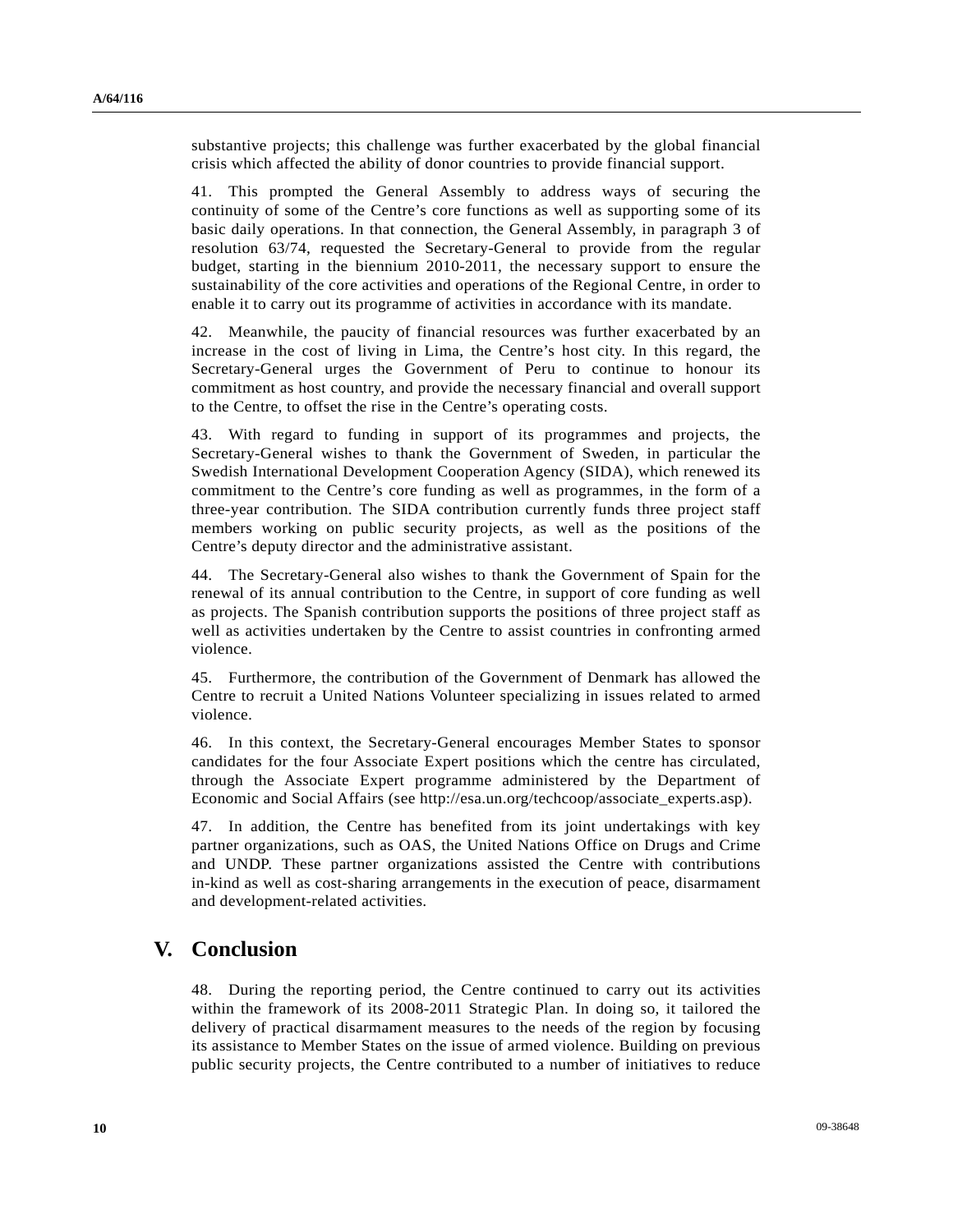substantive projects; this challenge was further exacerbated by the global financial crisis which affected the ability of donor countries to provide financial support.

41. This prompted the General Assembly to address ways of securing the continuity of some of the Centre's core functions as well as supporting some of its basic daily operations. In that connection, the General Assembly, in paragraph 3 of resolution 63/74, requested the Secretary-General to provide from the regular budget, starting in the biennium 2010-2011, the necessary support to ensure the sustainability of the core activities and operations of the Regional Centre, in order to enable it to carry out its programme of activities in accordance with its mandate.

42. Meanwhile, the paucity of financial resources was further exacerbated by an increase in the cost of living in Lima, the Centre's host city. In this regard, the Secretary-General urges the Government of Peru to continue to honour its commitment as host country, and provide the necessary financial and overall support to the Centre, to offset the rise in the Centre's operating costs.

43. With regard to funding in support of its programmes and projects, the Secretary-General wishes to thank the Government of Sweden, in particular the Swedish International Development Cooperation Agency (SIDA), which renewed its commitment to the Centre's core funding as well as programmes, in the form of a three-year contribution. The SIDA contribution currently funds three project staff members working on public security projects, as well as the positions of the Centre's deputy director and the administrative assistant.

44. The Secretary-General also wishes to thank the Government of Spain for the renewal of its annual contribution to the Centre, in support of core funding as well as projects. The Spanish contribution supports the positions of three project staff as well as activities undertaken by the Centre to assist countries in confronting armed violence.

45. Furthermore, the contribution of the Government of Denmark has allowed the Centre to recruit a United Nations Volunteer specializing in issues related to armed violence.

46. In this context, the Secretary-General encourages Member States to sponsor candidates for the four Associate Expert positions which the centre has circulated, through the Associate Expert programme administered by the Department of Economic and Social Affairs (see http://esa.un.org/techcoop/associate\_experts.asp).

47. In addition, the Centre has benefited from its joint undertakings with key partner organizations, such as OAS, the United Nations Office on Drugs and Crime and UNDP. These partner organizations assisted the Centre with contributions in-kind as well as cost-sharing arrangements in the execution of peace, disarmament and development-related activities.

## **V. Conclusion**

48. During the reporting period, the Centre continued to carry out its activities within the framework of its 2008-2011 Strategic Plan. In doing so, it tailored the delivery of practical disarmament measures to the needs of the region by focusing its assistance to Member States on the issue of armed violence. Building on previous public security projects, the Centre contributed to a number of initiatives to reduce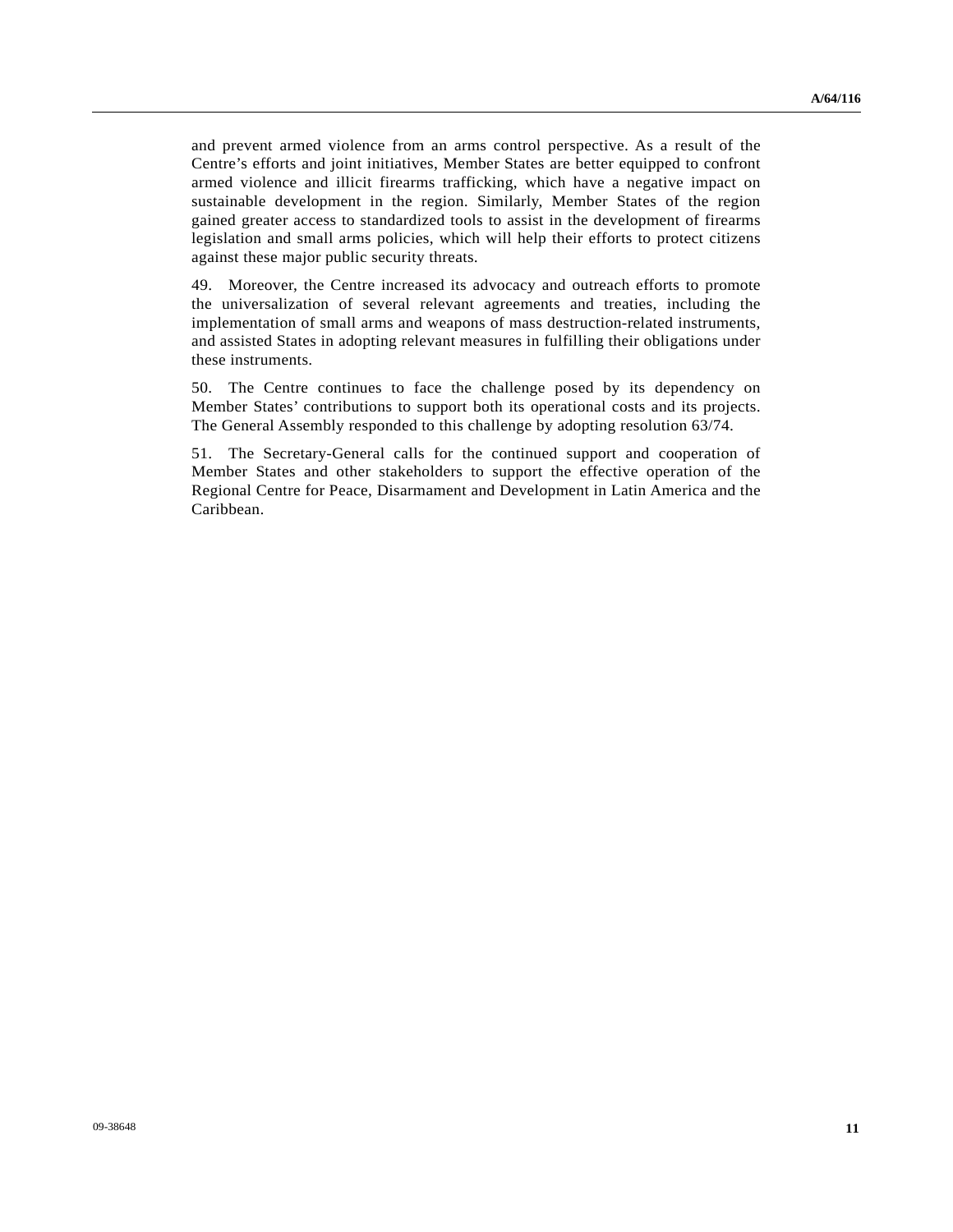and prevent armed violence from an arms control perspective. As a result of the Centre's efforts and joint initiatives, Member States are better equipped to confront armed violence and illicit firearms trafficking, which have a negative impact on sustainable development in the region. Similarly, Member States of the region gained greater access to standardized tools to assist in the development of firearms legislation and small arms policies, which will help their efforts to protect citizens against these major public security threats.

49. Moreover, the Centre increased its advocacy and outreach efforts to promote the universalization of several relevant agreements and treaties, including the implementation of small arms and weapons of mass destruction-related instruments, and assisted States in adopting relevant measures in fulfilling their obligations under these instruments.

50. The Centre continues to face the challenge posed by its dependency on Member States' contributions to support both its operational costs and its projects. The General Assembly responded to this challenge by adopting resolution 63/74.

51. The Secretary-General calls for the continued support and cooperation of Member States and other stakeholders to support the effective operation of the Regional Centre for Peace, Disarmament and Development in Latin America and the Caribbean.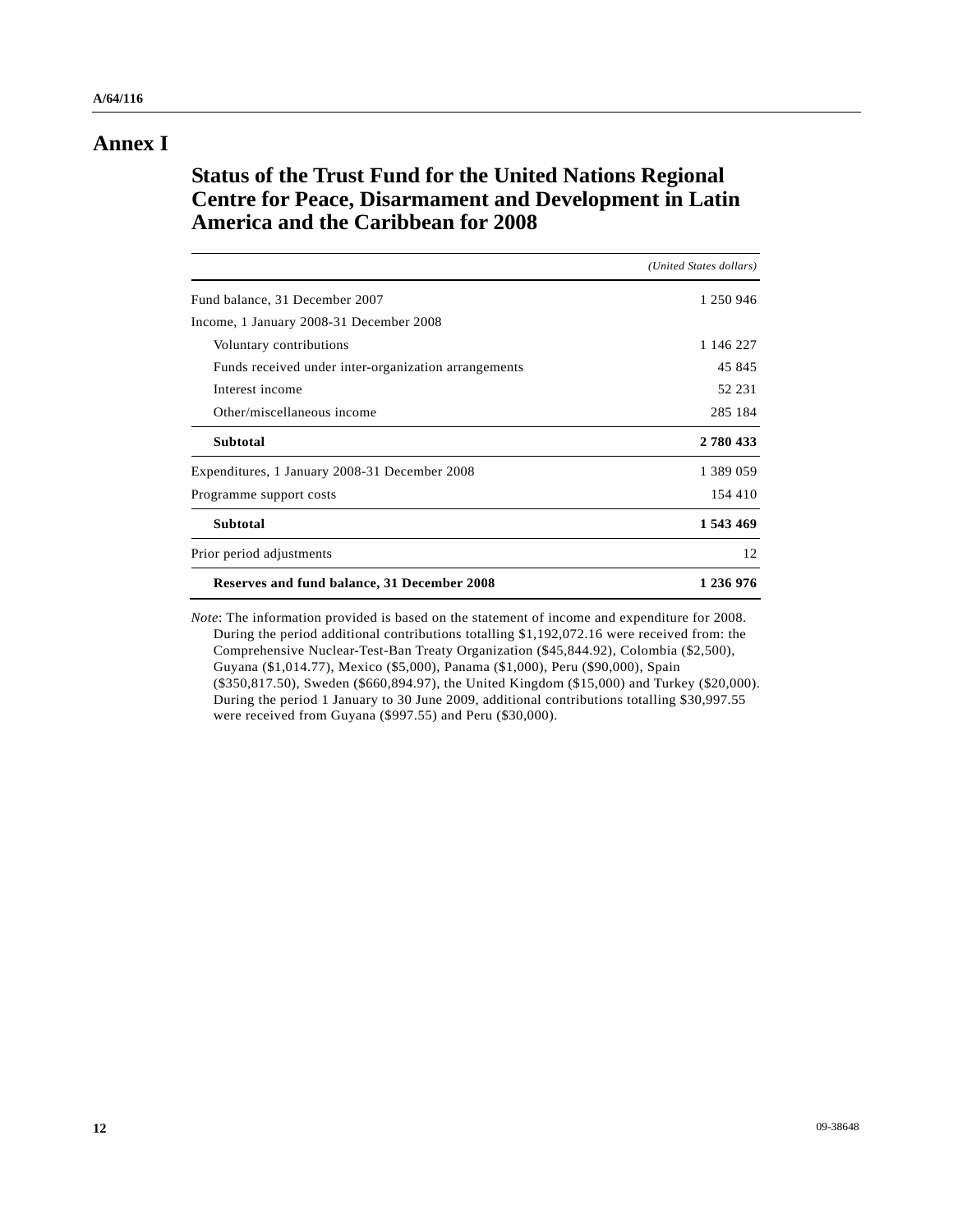## **Annex I**

# **Status of the Trust Fund for the United Nations Regional Centre for Peace, Disarmament and Development in Latin America and the Caribbean for 2008**

|                                                      | (United States dollars) |
|------------------------------------------------------|-------------------------|
| Fund balance, 31 December 2007                       | 1 250 946               |
| Income, 1 January 2008-31 December 2008              |                         |
| Voluntary contributions                              | 1 146 227               |
| Funds received under inter-organization arrangements | 45 845                  |
| Interest income                                      | 52 231                  |
| Other/miscellaneous income                           | 285 184                 |
| <b>Subtotal</b>                                      | 2780433                 |
| Expenditures, 1 January 2008-31 December 2008        | 1 389 059               |
| Programme support costs                              | 154 410                 |
| <b>Subtotal</b>                                      | 1 543 469               |
| Prior period adjustments                             | 12                      |
| Reserves and fund balance, 31 December 2008          | 1 236 976               |

*Note*: The information provided is based on the statement of income and expenditure for 2008. During the period additional contributions totalling \$1,192,072.16 were received from: the Comprehensive Nuclear-Test-Ban Treaty Organization (\$45,844.92), Colombia (\$2,500), Guyana (\$1,014.77), Mexico (\$5,000), Panama (\$1,000), Peru (\$90,000), Spain (\$350,817.50), Sweden (\$660,894.97), the United Kingdom (\$15,000) and Turkey (\$20,000). During the period 1 January to 30 June 2009, additional contributions totalling \$30,997.55 were received from Guyana (\$997.55) and Peru (\$30,000).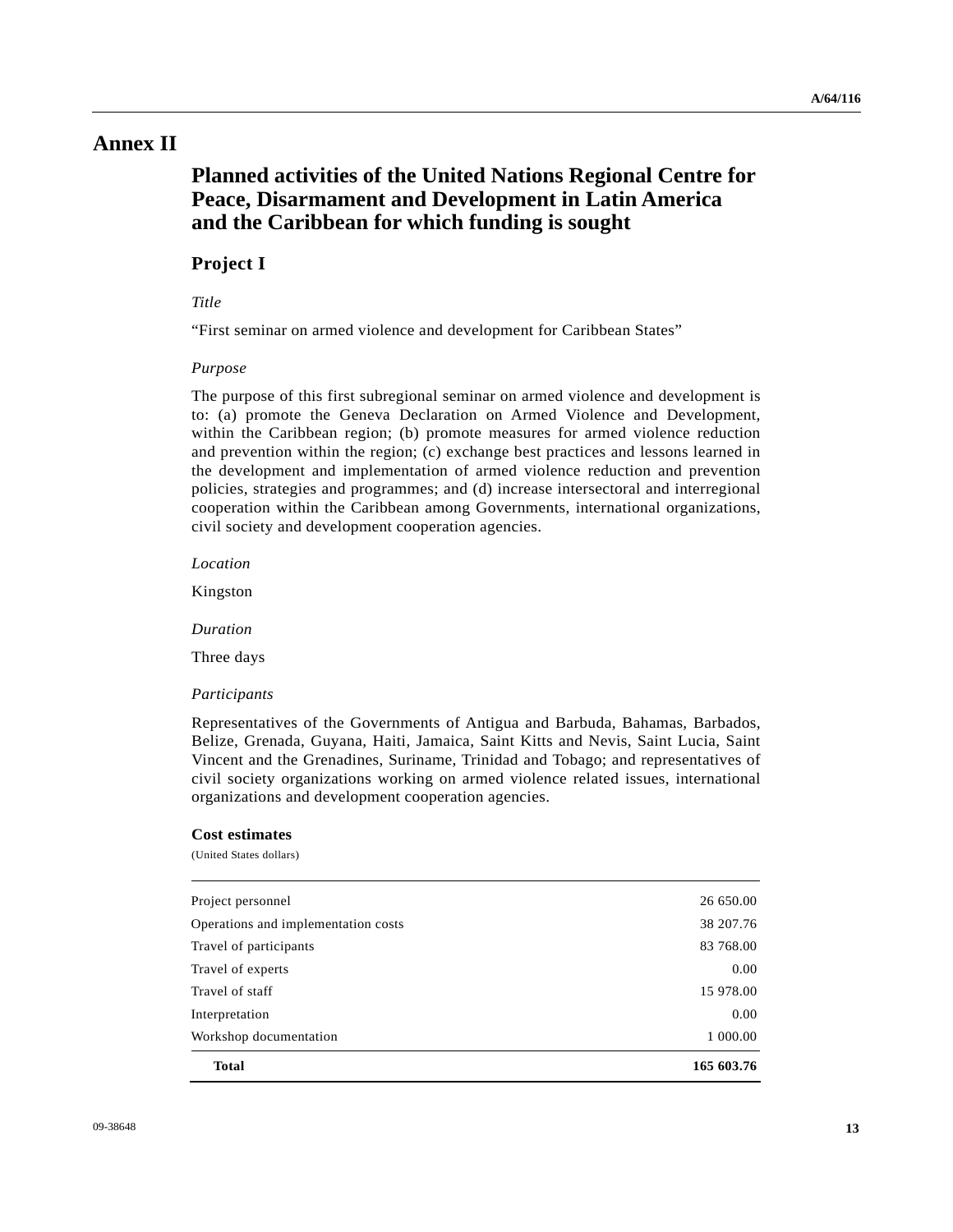## **Annex II**

# **Planned activities of the United Nations Regional Centre for Peace, Disarmament and Development in Latin America and the Caribbean for which funding is sought**

### **Project I**

### *Title*

"First seminar on armed violence and development for Caribbean States"

#### *Purpose*

The purpose of this first subregional seminar on armed violence and development is to: (a) promote the Geneva Declaration on Armed Violence and Development, within the Caribbean region; (b) promote measures for armed violence reduction and prevention within the region; (c) exchange best practices and lessons learned in the development and implementation of armed violence reduction and prevention policies, strategies and programmes; and (d) increase intersectoral and interregional cooperation within the Caribbean among Governments, international organizations, civil society and development cooperation agencies.

 *Location* 

Kingston

 *Duration* 

Three days

### *Participants*

Representatives of the Governments of Antigua and Barbuda, Bahamas, Barbados, Belize, Grenada, Guyana, Haiti, Jamaica, Saint Kitts and Nevis, Saint Lucia, Saint Vincent and the Grenadines, Suriname, Trinidad and Tobago; and representatives of civil society organizations working on armed violence related issues, international organizations and development cooperation agencies.

#### **Cost estimates**

(United States dollars)

| <b>Total</b>                        | 165 603.76 |
|-------------------------------------|------------|
| Workshop documentation              | 1 000.00   |
| Interpretation                      | 0.00       |
| Travel of staff                     | 15 978.00  |
| Travel of experts                   | 0.00       |
| Travel of participants              | 83 768.00  |
| Operations and implementation costs | 38 207.76  |
| Project personnel                   | 26 650.00  |
|                                     |            |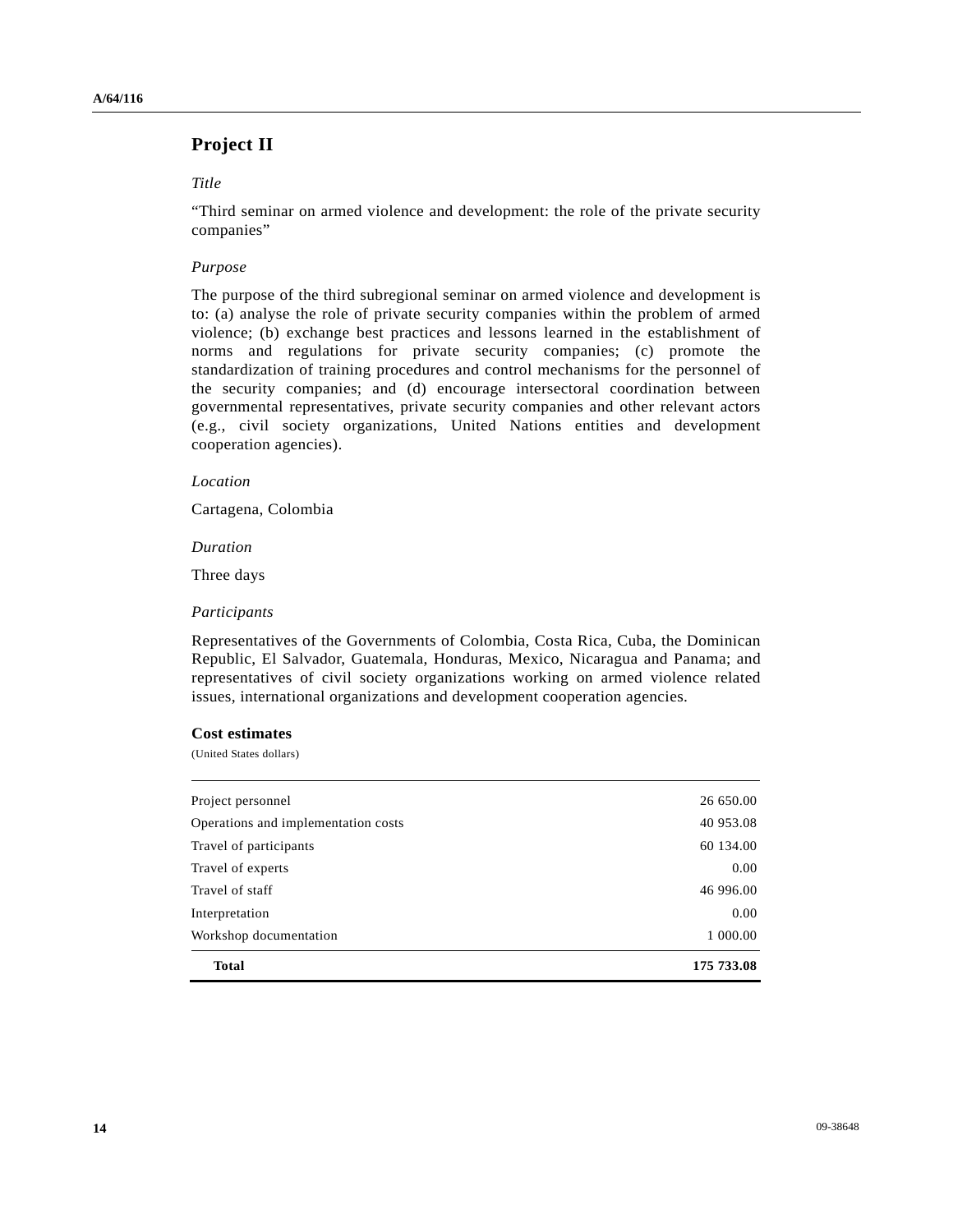## **Project II**

### *Title*

"Third seminar on armed violence and development: the role of the private security companies"

### *Purpose*

The purpose of the third subregional seminar on armed violence and development is to: (a) analyse the role of private security companies within the problem of armed violence; (b) exchange best practices and lessons learned in the establishment of norms and regulations for private security companies; (c) promote the standardization of training procedures and control mechanisms for the personnel of the security companies; and (d) encourage intersectoral coordination between governmental representatives, private security companies and other relevant actors (e.g., civil society organizations, United Nations entities and development cooperation agencies).

### *Location*

Cartagena, Colombia

 *Duration* 

Three days

### *Participants*

Representatives of the Governments of Colombia, Costa Rica, Cuba, the Dominican Republic, El Salvador, Guatemala, Honduras, Mexico, Nicaragua and Panama; and representatives of civil society organizations working on armed violence related issues, international organizations and development cooperation agencies.

### **Cost estimates**

(United States dollars)

| <b>Total</b>                        | 175 733.08 |
|-------------------------------------|------------|
| Workshop documentation              | 1 000.00   |
| Interpretation                      | 0.00       |
| Travel of staff                     | 46 996.00  |
| Travel of experts                   | 0.00       |
| Travel of participants              | 60 134.00  |
| Operations and implementation costs | 40 953.08  |
| Project personnel                   | 26 650.00  |
|                                     |            |